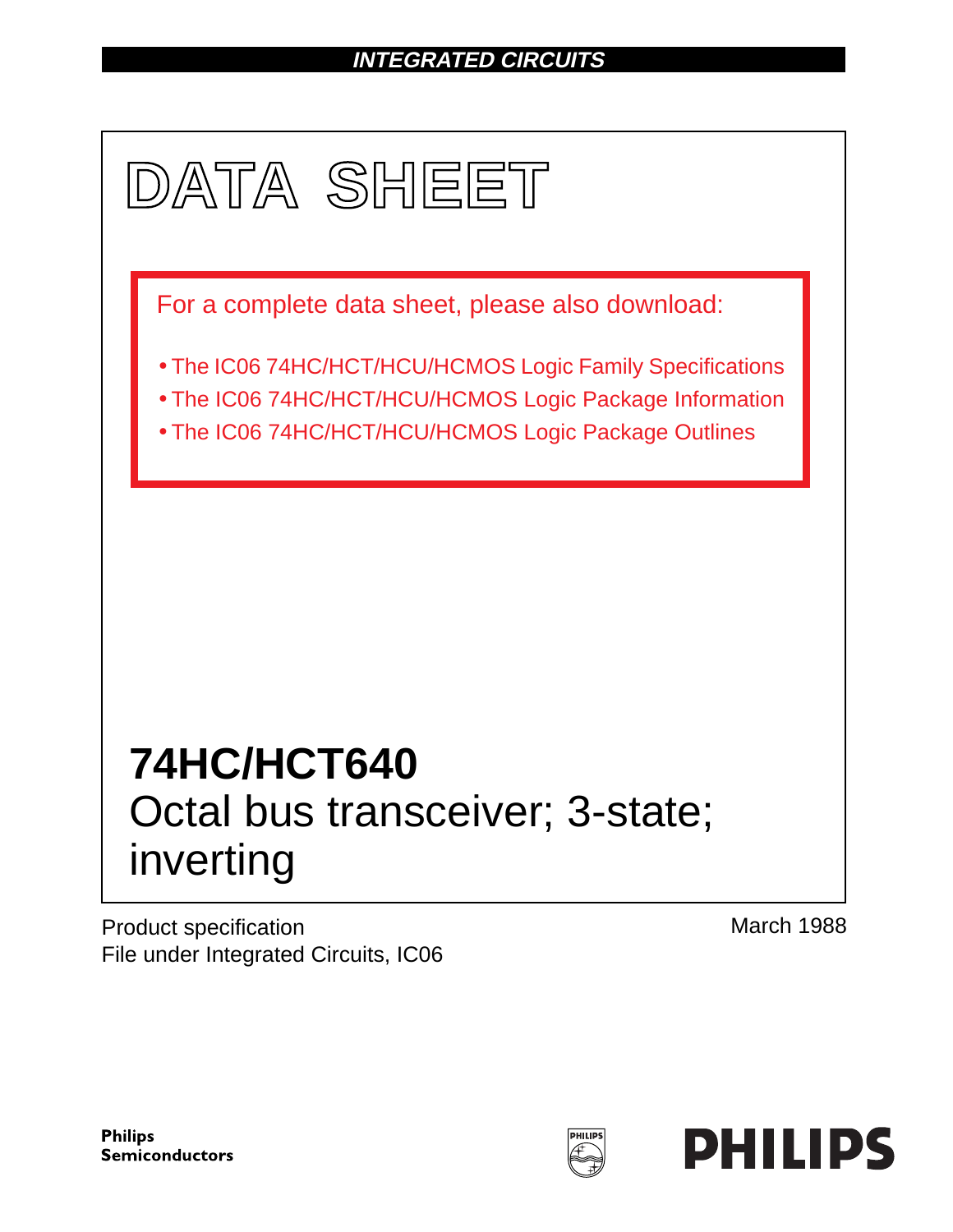# **INTEGRATED CIRCUITS**



Product specification File under Integrated Circuits, IC06 March 1988

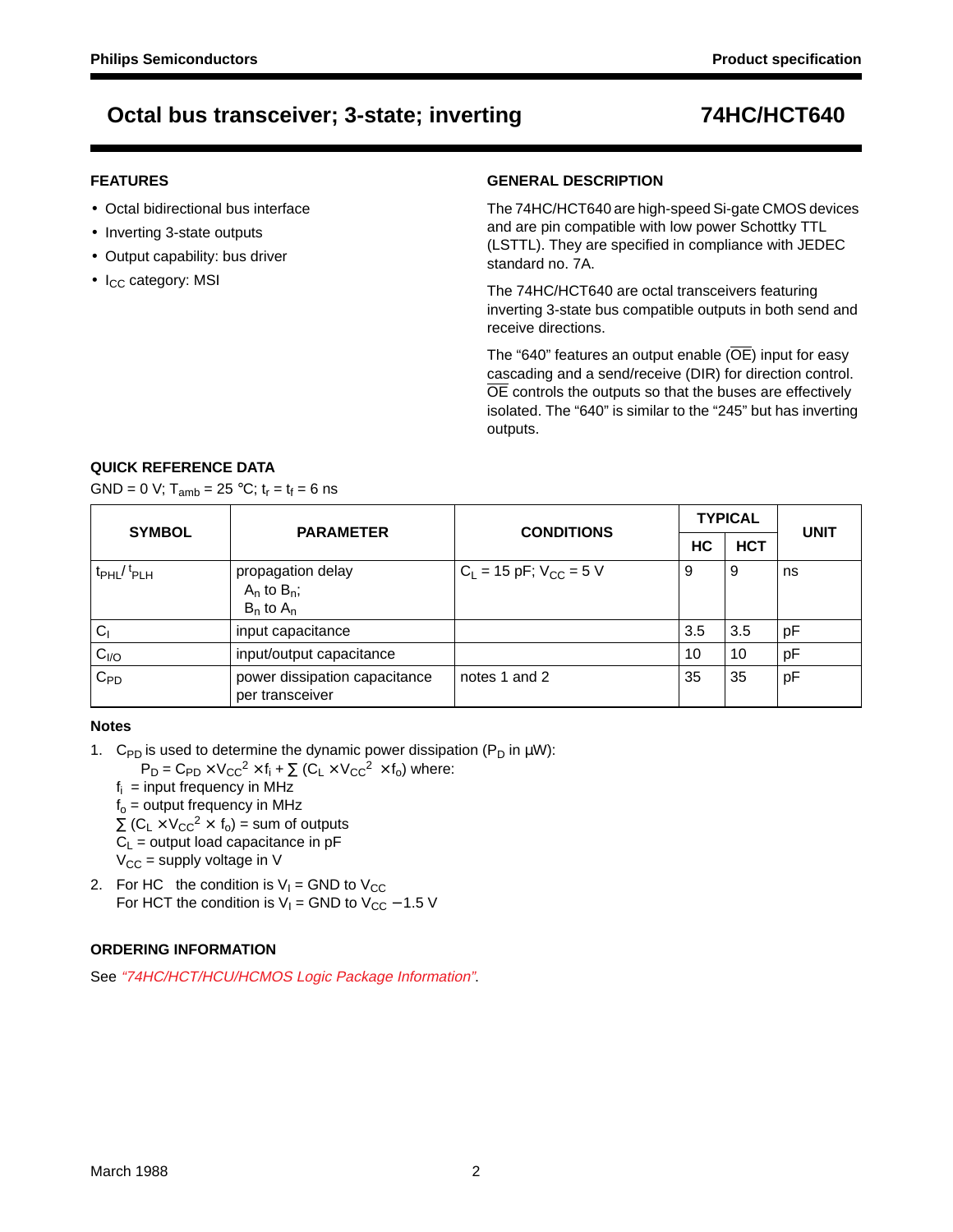### **FEATURES**

- Octal bidirectional bus interface
- Inverting 3-state outputs
- Output capability: bus driver
- I<sub>CC</sub> category: MSI

### **GENERAL DESCRIPTION**

The 74HC/HCT640 are high-speed Si-gate CMOS devices and are pin compatible with low power Schottky TTL (LSTTL). They are specified in compliance with JEDEC standard no. 7A.

The 74HC/HCT640 are octal transceivers featuring inverting 3-state bus compatible outputs in both send and receive directions.

The "640" features an output enable (OE) input for easy cascading and a send/receive (DIR) for direction control. OE controls the outputs so that the buses are effectively isolated. The "640" is similar to the "245" but has inverting outputs.

## **QUICK REFERENCE DATA**

GND = 0 V;  $T_{amb}$  = 25 °C;  $t_r = t_f = 6$  ns

| <b>SYMBOL</b>                      | <b>PARAMETER</b>                                        | <b>CONDITIONS</b>             |     | <b>TYPICAL</b> | <b>UNIT</b> |  |
|------------------------------------|---------------------------------------------------------|-------------------------------|-----|----------------|-------------|--|
|                                    |                                                         |                               | НC  | <b>HCT</b>     |             |  |
| t <sub>PHL</sub> /t <sub>PLH</sub> | propagation delay<br>$A_n$ to $B_n$ ;<br>$B_n$ to $A_n$ | $C_L$ = 15 pF; $V_{CC}$ = 5 V | 9   | 9              | ns          |  |
| C <sub>1</sub>                     | input capacitance                                       |                               | 3.5 | 3.5            | pF          |  |
| C <sub>I/O</sub>                   | input/output capacitance                                |                               | 10  | 10             | pF          |  |
| $C_{PD}$                           | power dissipation capacitance<br>per transceiver        | notes 1 and 2                 | 35  | 35             | pF          |  |

### **Notes**

1. C<sub>PD</sub> is used to determine the dynamic power dissipation (P<sub>D</sub> in  $\mu$ W):

 $P_D = C_{PD} \times V_{CC}^2 \times f_i + \sum (C_L \times V_{CC}^2 \times f_o)$  where:

 $f_i$  = input frequency in MHz

 $f<sub>o</sub>$  = output frequency in MHz

 $\Sigma$  (C<sub>L</sub> × V<sub>CC</sub><sup>2</sup> × f<sub>o</sub>) = sum of outputs

 $C_L$  = output load capacitance in pF

 $V_{\text{CC}}$  = supply voltage in V

2. For HC the condition is  $V_1 =$  GND to  $V_{CC}$ For HCT the condition is  $V_1$  = GND to  $V_{CC}$  – 1.5 V

# **ORDERING INFORMATION**

See "74HC/HCT/HCU/HCMOS Logic Package Information".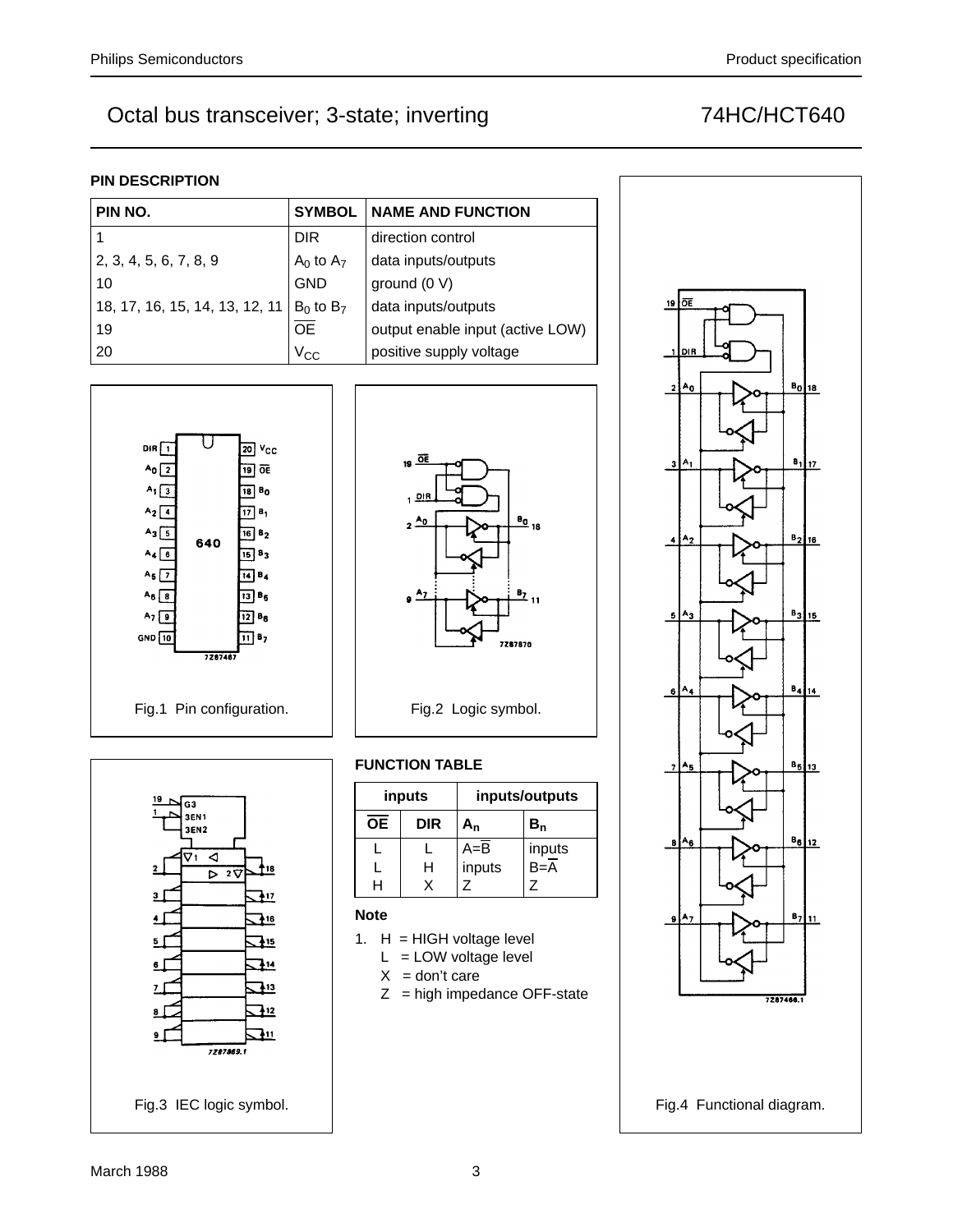# **PIN DESCRIPTION**

| PIN NO.                        |                 | <b>SYMBOL   NAME AND FUNCTION</b> |  |  |  |  |  |
|--------------------------------|-----------------|-----------------------------------|--|--|--|--|--|
|                                | <b>DIR</b>      | direction control                 |  |  |  |  |  |
| 2, 3, 4, 5, 6, 7, 8, 9         | $A_0$ to $A_7$  | data inputs/outputs               |  |  |  |  |  |
| 10                             | <b>GND</b>      | ground $(0 V)$                    |  |  |  |  |  |
| 18, 17, 16, 15, 14, 13, 12, 11 | $B_0$ to $B_7$  | data inputs/outputs               |  |  |  |  |  |
| 19                             | $\overline{OE}$ | output enable input (active LOW)  |  |  |  |  |  |
| 20                             | $V_{CC}$        | positive supply voltage           |  |  |  |  |  |







# **FUNCTION TABLE**

|                 | inputs     | inputs/outputs |                  |  |  |  |  |
|-----------------|------------|----------------|------------------|--|--|--|--|
| $\overline{OE}$ | <b>DIR</b> | A <sub>n</sub> | ${\tt B_n}$      |  |  |  |  |
|                 |            | $A = B$        | inputs           |  |  |  |  |
|                 | н          | inputs         | $B=\overline{A}$ |  |  |  |  |
|                 |            |                |                  |  |  |  |  |

# **Note**

- 1. H = HIGH voltage level
	- $L = LOW$  voltage level
	- $X = don't care$
	- $Z =$  high impedance OFF-state

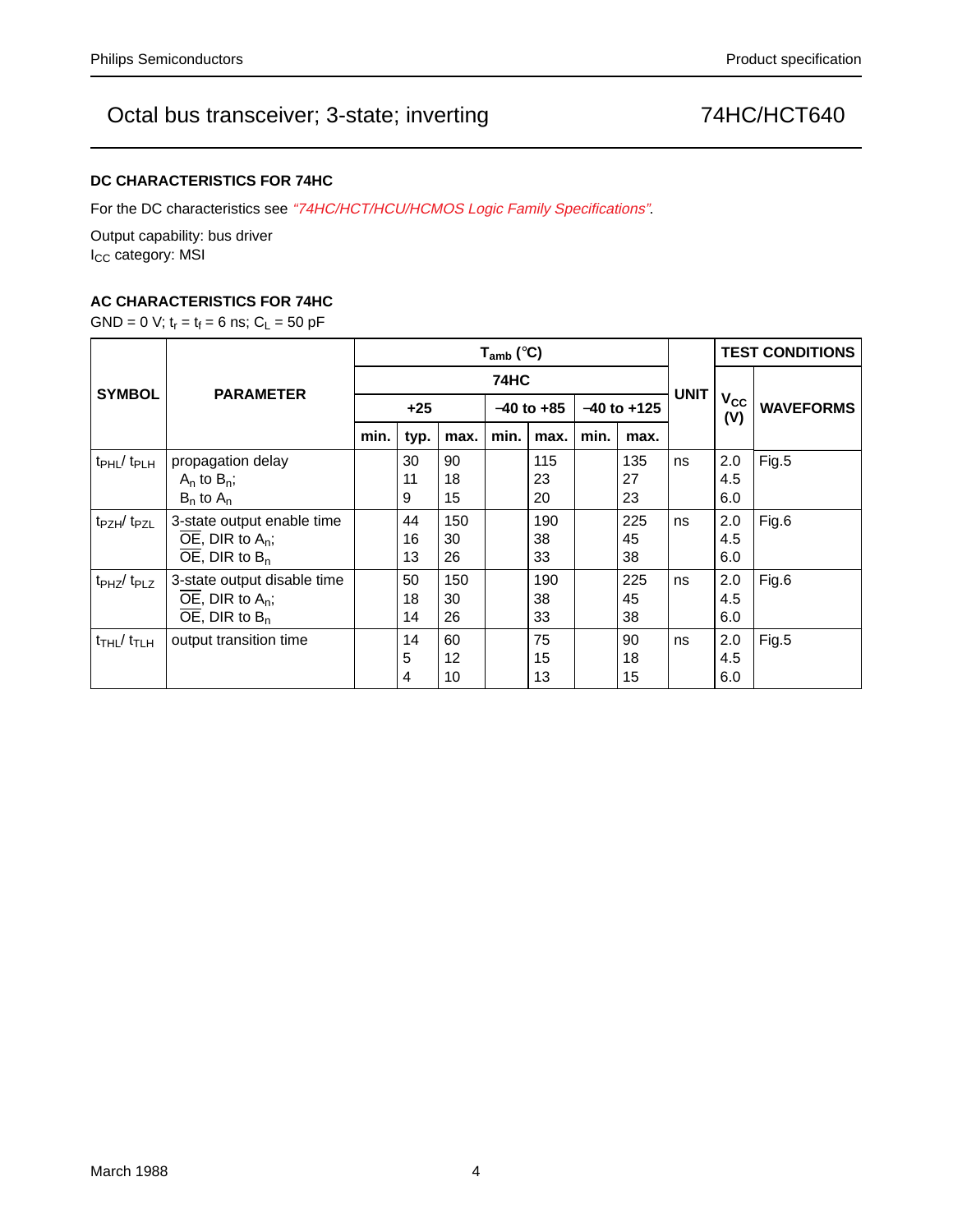# **DC CHARACTERISTICS FOR 74HC**

For the DC characteristics see "74HC/HCT/HCU/HCMOS Logic Family Specifications".

Output capability: bus driver I<sub>CC</sub> category: MSI

# **AC CHARACTERISTICS FOR 74HC**

GND = 0 V;  $t_r = t_f = 6$  ns;  $C_L = 50$  pF

|                                           |                                           | $T_{amb}$ (°C) |      |      |                |      |                 |      |             | <b>TEST CONDITIONS</b>       |                  |
|-------------------------------------------|-------------------------------------------|----------------|------|------|----------------|------|-----------------|------|-------------|------------------------------|------------------|
| <b>SYMBOL</b>                             | <b>PARAMETER</b>                          | <b>74HC</b>    |      |      |                |      |                 |      |             |                              |                  |
|                                           |                                           | $+25$          |      |      | $-40$ to $+85$ |      | $-40$ to $+125$ |      | <b>UNIT</b> | <b>V<sub>cc</sub></b><br>(V) | <b>WAVEFORMS</b> |
|                                           |                                           | min.           | typ. | max. | min.           | max. | min.            | max. |             |                              |                  |
| $t_{\rm PHL} / t_{\rm PLH}$               | propagation delay                         |                | 30   | 90   |                | 115  |                 | 135  | ns          | 2.0                          | Fig.5            |
|                                           | $A_n$ to $B_n$ ;                          |                | 11   | 18   |                | 23   |                 | 27   |             | 4.5                          |                  |
|                                           | $B_n$ to $A_n$                            |                | 9    | 15   |                | 20   |                 | 23   |             | 6.0                          |                  |
| t <sub>PZH</sub> /t <sub>PZL</sub>        | 3-state output enable time                |                | 44   | 150  |                | 190  |                 | 225  | ns          | 2.0                          | Fig.6            |
|                                           | $\overline{OE}$ , DIR to A <sub>n</sub> ; |                | 16   | 30   |                | 38   |                 | 45   |             | 4.5                          |                  |
|                                           | $\overline{OE}$ , DIR to B <sub>n</sub>   |                | 13   | 26   |                | 33   |                 | 38   |             | 6.0                          |                  |
| t <sub>PHZ</sub> /t <sub>PLZ</sub>        | 3-state output disable time               |                | 50   | 150  |                | 190  |                 | 225  | ns          | 2.0                          | Fig.6            |
|                                           | $\overline{OE}$ , DIR to A <sub>n</sub> ; |                | 18   | 30   |                | 38   |                 | 45   |             | 4.5                          |                  |
|                                           | OE, DIR to $B_n$                          |                | 14   | 26   |                | 33   |                 | 38   |             | 6.0                          |                  |
| $t$ <sub>THL</sub> $/$ $t$ <sub>TLH</sub> | output transition time                    |                | 14   | 60   |                | 75   |                 | 90   | ns          | 2.0                          | Fig.5            |
|                                           |                                           |                | 5    | 12   |                | 15   |                 | 18   |             | 4.5                          |                  |
|                                           |                                           |                | 4    | 10   |                | 13   |                 | 15   |             | 6.0                          |                  |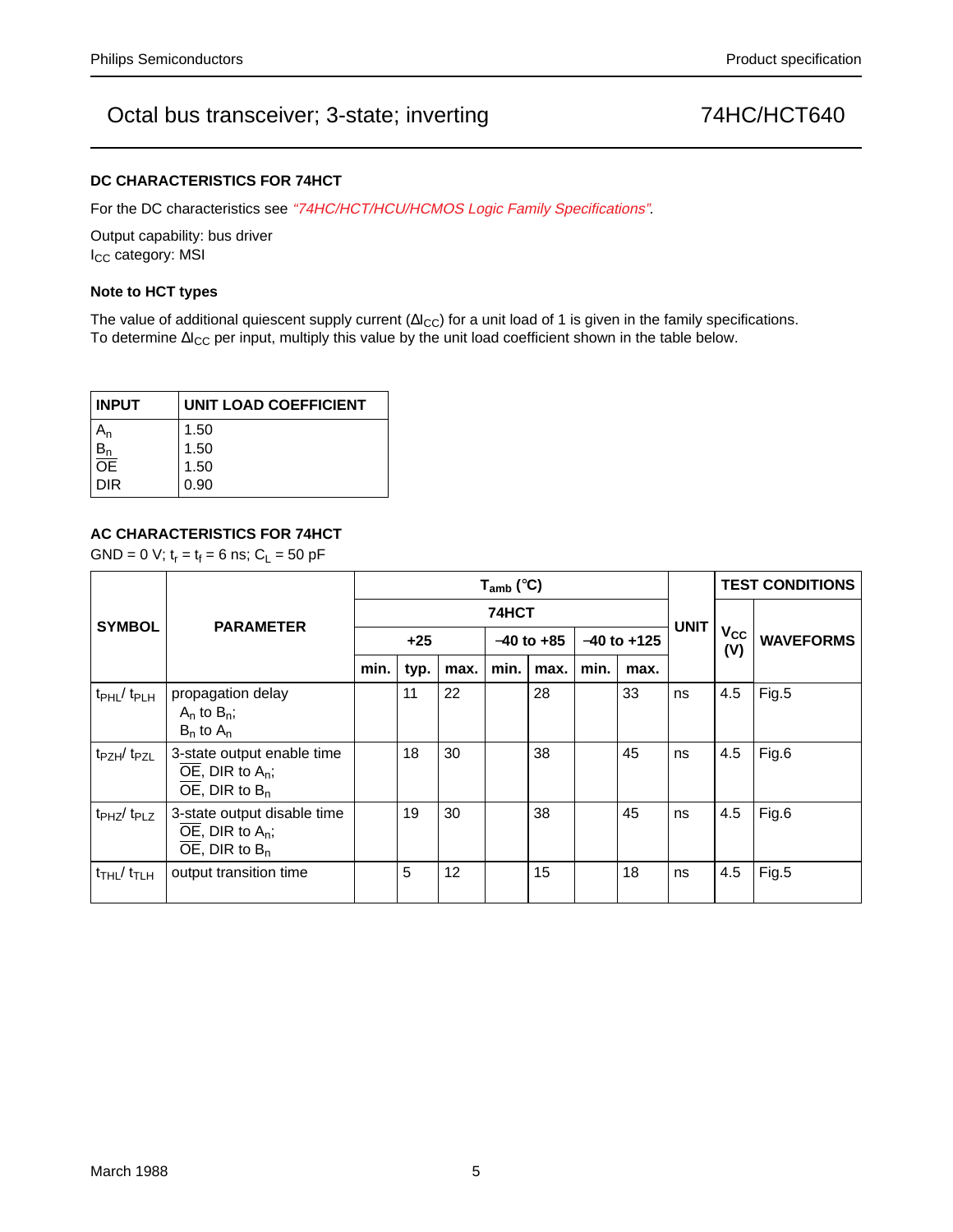### **DC CHARACTERISTICS FOR 74HCT**

For the DC characteristics see "74HC/HCT/HCU/HCMOS Logic Family Specifications".

Output capability: bus driver I<sub>CC</sub> category: MSI

### **Note to HCT types**

The value of additional quiescent supply current ( $\Delta I_{CC}$ ) for a unit load of 1 is given in the family specifications. To determine ∆I<sub>CC</sub> per input, multiply this value by the unit load coefficient shown in the table below.

| <b>INPUT</b> | <b>UNIT LOAD COEFFICIENT</b> |  |  |  |  |  |
|--------------|------------------------------|--|--|--|--|--|
|              | 1.50                         |  |  |  |  |  |
|              | 1.50                         |  |  |  |  |  |
| ŌĒ           | 1.50                         |  |  |  |  |  |
| DIR          | 0.90                         |  |  |  |  |  |

## **AC CHARACTERISTICS FOR 74HCT**

GND = 0 V;  $t_r = t_f = 6$  ns;  $C_L = 50$  pF

|                                         |                                                                                                                     | $T_{amb}$ (°C) |      |                   |                |      |                 |      |             | <b>TEST CONDITIONS</b> |                  |
|-----------------------------------------|---------------------------------------------------------------------------------------------------------------------|----------------|------|-------------------|----------------|------|-----------------|------|-------------|------------------------|------------------|
| <b>SYMBOL</b>                           | <b>PARAMETER</b>                                                                                                    | 74HCT          |      |                   |                |      |                 |      |             |                        |                  |
|                                         |                                                                                                                     | $+25$          |      |                   | $-40$ to $+85$ |      | $-40$ to $+125$ |      | <b>UNIT</b> | $V_{CC}$<br>(V)        | <b>WAVEFORMS</b> |
|                                         |                                                                                                                     | min.           | typ. | max.              | min.           | max. | min.            | max. |             |                        |                  |
| $t_{\rm PHL}/t_{\rm PLH}$               | propagation delay<br>$A_n$ to $B_n$ ;<br>$B_n$ to $A_n$                                                             |                | 11   | 22                |                | 28   |                 | 33   | ns          | 4.5                    | Fig.5            |
| t <sub>PZH</sub> /t <sub>PZL</sub>      | 3-state output enable time<br>$\overline{OE}$ , DIR to A <sub>n</sub> ;<br>$\overline{OE}$ , DIR to B <sub>n</sub>  |                | 18   | 30                |                | 38   |                 | 45   | ns          | 4.5                    | Fig.6            |
| $t_{PHZ}/t_{PLZ}$                       | 3-state output disable time<br>$\overline{OE}$ , DIR to A <sub>n</sub> ;<br>$\overline{OE}$ , DIR to B <sub>n</sub> |                | 19   | 30                |                | 38   |                 | 45   | ns          | 4.5                    | Fig.6            |
| $t$ <sub>THL</sub> / $t$ <sub>TLH</sub> | output transition time                                                                                              |                | 5    | $12 \overline{ }$ |                | 15   |                 | 18   | ns          | 4.5                    | Fig.5            |